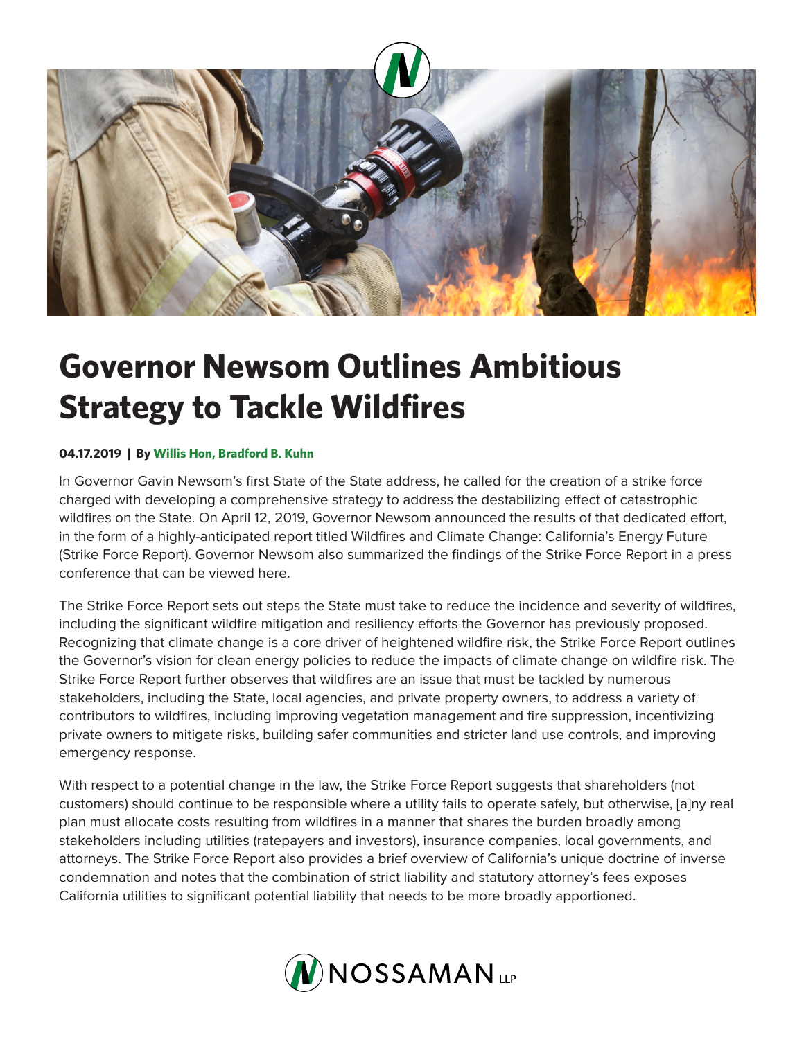

## **Governor Newsom Outlines Ambitious Strategy to Tackle Wildfires**

## **04.17.2019 | By Willis Hon, Bradford B. Kuhn**

In Governor Gavin Newsom's first State of the State address, he called for the creation of a strike force charged with developing a comprehensive strategy to address the destabilizing effect of catastrophic wildfires on the State. On April 12, 2019, Governor Newsom announced the results of that dedicated effort, in the form of a highly-anticipated report titled Wildfires and Climate Change: California's Energy Future (Strike Force Report). Governor Newsom also summarized the findings of the Strike Force Report in a press conference that can be viewed here.

The Strike Force Report sets out steps the State must take to reduce the incidence and severity of wildfires, including the significant wildfire mitigation and resiliency efforts the Governor has previously proposed. Recognizing that climate change is a core driver of heightened wildfire risk, the Strike Force Report outlines the Governor's vision for clean energy policies to reduce the impacts of climate change on wildfire risk. The Strike Force Report further observes that wildfires are an issue that must be tackled by numerous stakeholders, including the State, local agencies, and private property owners, to address a variety of contributors to wildfires, including improving vegetation management and fire suppression, incentivizing private owners to mitigate risks, building safer communities and stricter land use controls, and improving emergency response.

With respect to a potential change in the law, the Strike Force Report suggests that shareholders (not customers) should continue to be responsible where a utility fails to operate safely, but otherwise, [a]ny real plan must allocate costs resulting from wildfires in a manner that shares the burden broadly among stakeholders including utilities (ratepayers and investors), insurance companies, local governments, and attorneys. The Strike Force Report also provides a brief overview of California's unique doctrine of inverse condemnation and notes that the combination of strict liability and statutory attorney's fees exposes California utilities to significant potential liability that needs to be more broadly apportioned.

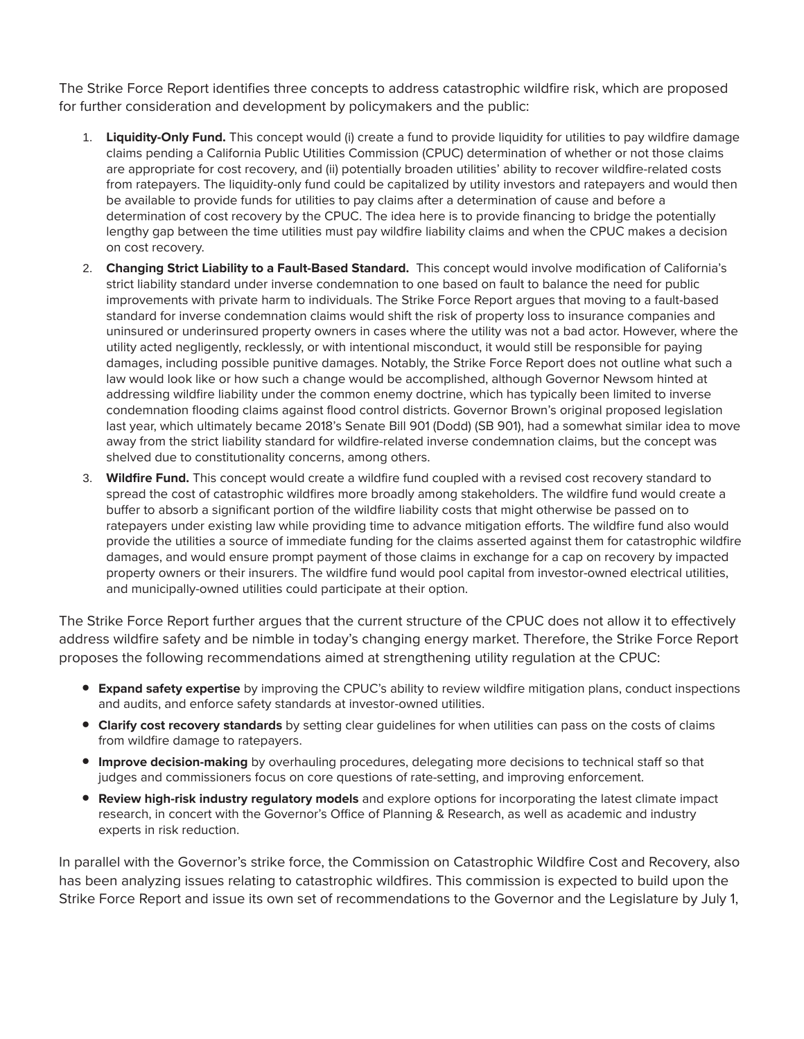The Strike Force Report identifies three concepts to address catastrophic wildfire risk, which are proposed for further consideration and development by policymakers and the public:

- 1. **Liquidity-Only Fund.** This concept would (i) create a fund to provide liquidity for utilities to pay wildfire damage claims pending a California Public Utilities Commission (CPUC) determination of whether or not those claims are appropriate for cost recovery, and (ii) potentially broaden utilities' ability to recover wildfire-related costs from ratepayers. The liquidity-only fund could be capitalized by utility investors and ratepayers and would then be available to provide funds for utilities to pay claims after a determination of cause and before a determination of cost recovery by the CPUC. The idea here is to provide financing to bridge the potentially lengthy gap between the time utilities must pay wildfire liability claims and when the CPUC makes a decision on cost recovery.
- 2. **Changing Strict Liability to a Fault-Based Standard.** This concept would involve modification of California's strict liability standard under inverse condemnation to one based on fault to balance the need for public improvements with private harm to individuals. The Strike Force Report argues that moving to a fault-based standard for inverse condemnation claims would shift the risk of property loss to insurance companies and uninsured or underinsured property owners in cases where the utility was not a bad actor. However, where the utility acted negligently, recklessly, or with intentional misconduct, it would still be responsible for paying damages, including possible punitive damages. Notably, the Strike Force Report does not outline what such a law would look like or how such a change would be accomplished, although Governor Newsom hinted at addressing wildfire liability under the common enemy doctrine, which has typically been limited to inverse condemnation flooding claims against flood control districts. Governor Brown's original proposed legislation last year, which ultimately became 2018's Senate Bill 901 (Dodd) (SB 901), had a somewhat similar idea to move away from the strict liability standard for wildfire-related inverse condemnation claims, but the concept was shelved due to constitutionality concerns, among others.
- 3. **Wildfire Fund.** This concept would create a wildfire fund coupled with a revised cost recovery standard to spread the cost of catastrophic wildfires more broadly among stakeholders. The wildfire fund would create a buffer to absorb a significant portion of the wildfire liability costs that might otherwise be passed on to ratepayers under existing law while providing time to advance mitigation efforts. The wildfire fund also would provide the utilities a source of immediate funding for the claims asserted against them for catastrophic wildfire damages, and would ensure prompt payment of those claims in exchange for a cap on recovery by impacted property owners or their insurers. The wildfire fund would pool capital from investor-owned electrical utilities, and municipally-owned utilities could participate at their option.

The Strike Force Report further argues that the current structure of the CPUC does not allow it to effectively address wildfire safety and be nimble in today's changing energy market. Therefore, the Strike Force Report proposes the following recommendations aimed at strengthening utility regulation at the CPUC:

- **Expand safety expertise** by improving the CPUC's ability to review wildfire mitigation plans, conduct inspections and audits, and enforce safety standards at investor-owned utilities.
- **Clarify cost recovery standards** by setting clear guidelines for when utilities can pass on the costs of claims from wildfire damage to ratepayers.
- **Improve decision-making** by overhauling procedures, delegating more decisions to technical staff so that judges and commissioners focus on core questions of rate-setting, and improving enforcement.
- **Review high-risk industry regulatory models** and explore options for incorporating the latest climate impact research, in concert with the Governor's Office of Planning & Research, as well as academic and industry experts in risk reduction.

In parallel with the Governor's strike force, the Commission on Catastrophic Wildfire Cost and Recovery, also has been analyzing issues relating to catastrophic wildfires. This commission is expected to build upon the Strike Force Report and issue its own set of recommendations to the Governor and the Legislature by July 1,